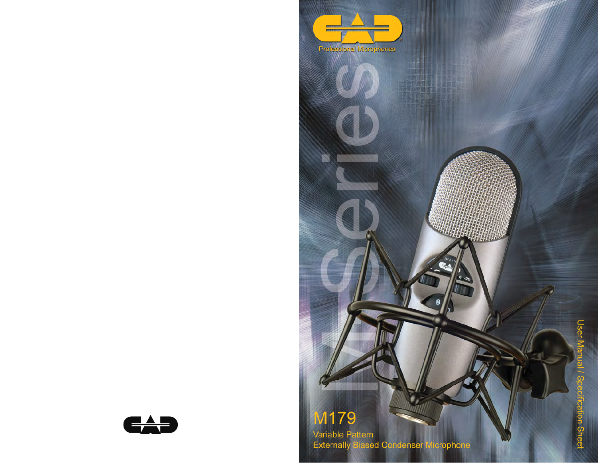

**Variable Pattern<br>Externally Biased Condenser Microphone**